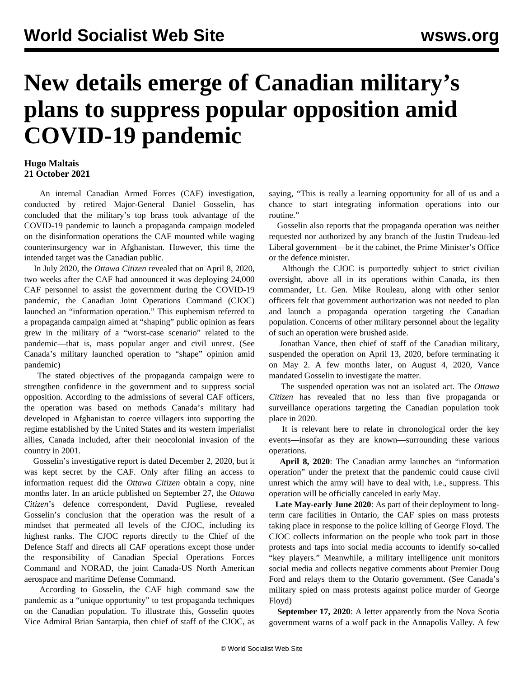## **New details emerge of Canadian military's plans to suppress popular opposition amid COVID-19 pandemic**

## **Hugo Maltais 21 October 2021**

 An internal Canadian Armed Forces (CAF) investigation, conducted by retired Major-General Daniel Gosselin, has concluded that the military's top brass took advantage of the COVID-19 pandemic to launch a propaganda campaign modeled on the disinformation operations the CAF mounted while waging counterinsurgency war in Afghanistan. However, this time the intended target was the Canadian public.

 In July 2020, the *Ottawa Citizen* revealed that on April 8, 2020, two weeks after the CAF had announced it was deploying 24,000 CAF personnel to assist the government during the COVID-19 pandemic, the Canadian Joint Operations Command (CJOC) launched an "information operation." This euphemism referred to a propaganda campaign aimed at "shaping" public opinion as fears grew in the military of a "worst-case scenario" related to the pandemic—that is, mass popular anger and civil unrest. (See [Canada's military launched operation to "shape" opinion amid](/en/articles/2020/08/12/cami-a12.html) [pandemic](/en/articles/2020/08/12/cami-a12.html))

 The stated objectives of the propaganda campaign were to strengthen confidence in the government and to suppress social opposition. According to the admissions of several CAF officers, the operation was based on methods Canada's military had developed in Afghanistan to coerce villagers into supporting the regime established by the United States and its western imperialist allies, Canada included, after their neocolonial invasion of the country in 2001.

 Gosselin's investigative report is dated December 2, 2020, but it was kept secret by the CAF. Only after filing an access to information request did the *Ottawa Citizen* obtain a copy, nine months later. In an article published on September 27, the *Ottawa Citizen*'s defence correspondent, David Pugliese, revealed Gosselin's conclusion that the operation was the result of a mindset that permeated all levels of the CJOC, including its highest ranks. The CJOC reports directly to the Chief of the Defence Staff and directs all CAF operations except those under the responsibility of Canadian Special Operations Forces Command and NORAD, the joint Canada-US North American aerospace and maritime Defense Command.

 According to Gosselin, the CAF high command saw the pandemic as a "unique opportunity" to test propaganda techniques on the Canadian population. To illustrate this, Gosselin quotes Vice Admiral Brian Santarpia, then chief of staff of the CJOC, as

saying, "This is really a learning opportunity for all of us and a chance to start integrating information operations into our routine."

 Gosselin also reports that the propaganda operation was neither requested nor authorized by any branch of the Justin Trudeau-led Liberal government—be it the cabinet, the Prime Minister's Office or the defence minister.

 Although the CJOC is purportedly subject to strict civilian oversight, above all in its operations within Canada, its then commander, Lt. Gen. Mike Rouleau, along with other senior officers felt that government authorization was not needed to plan and launch a propaganda operation targeting the Canadian population. Concerns of other military personnel about the legality of such an operation were brushed aside.

 Jonathan Vance, then chief of staff of the Canadian military, suspended the operation on April 13, 2020, before terminating it on May 2. A few months later, on August 4, 2020, Vance mandated Gosselin to investigate the matter.

 The suspended operation was not an isolated act. The *Ottawa Citizen* has revealed that no less than five propaganda or surveillance operations targeting the Canadian population took place in 2020.

 It is relevant here to relate in chronological order the key events—insofar as they are known—surrounding these various operations.

 **April 8, 2020**: The Canadian army launches an "information operation" under the pretext that the pandemic could cause civil unrest which the army will have to deal with, i.e., suppress. This operation will be officially canceled in early May.

 **Late May-early June 2020**: As part of their deployment to longterm care facilities in Ontario, the CAF spies on mass protests taking place in response to the police killing of George Floyd. The CJOC collects information on the people who took part in those protests and taps into social media accounts to identify so-called "key players." Meanwhile, a military intelligence unit monitors social media and collects negative comments about Premier Doug Ford and relays them to the Ontario government. (See [Canada's](/en/articles/2021/06/11/cama-j11.html) [military spied on mass protests against police murder of George](/en/articles/2021/06/11/cama-j11.html) [Floyd\)](/en/articles/2021/06/11/cama-j11.html)

 **September 17, 2020**: A letter apparently from the Nova Scotia government warns of a wolf pack in the Annapolis Valley. A few